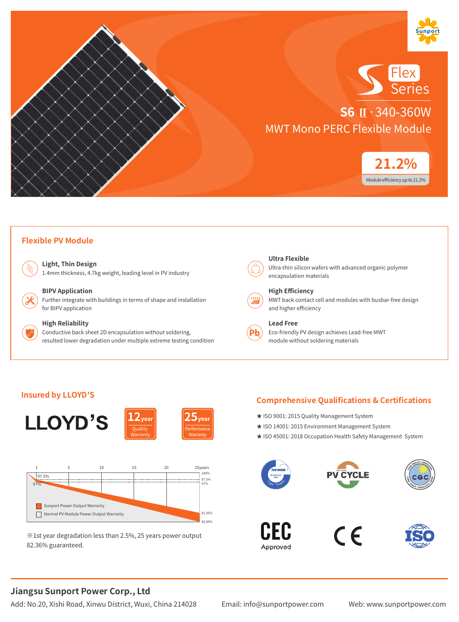



**S6 Ⅱ**·340-360W MWT Mono PERC Flexible Module



#### **Flexible PV Module**

**Light, Thin Design** 1.4mm thickness, 4.7kg weight, leading level in PV industry



#### **BIPV Application**

Further integrate with buildings in terms of shape and installation for BIPV application



#### **High Reliability**

Conductive back sheet 2D encapsulation without soldering, resulted lower degradation under multiple extreme testing condition



#### Ultra-thin silicon wafers with advanced organic polymer

encapsulation materials



#### **High Efficiency**

MWT back contact cell and modules with busbar-free design and higher efficiency



#### **Lead Free**

Eco-friendly PV design achieves Lead-free MWT module without soldering materials

#### **Insured by LLOYD'S**



※1st year degradation less than 2.5%, 25 years power output 82.36% guaranteed.

### **Comprehensive Qualifications & Certifications**

- ★ ISO 9001: 2015 Quality Management System
- ★ ISO 14001: 2015 Environment Management System
- ★ ISO 45001: 2018 Occupation Health Safety Management System









# **Jiangsu Sunport Power Corp., Ltd**

Add: No.20, Xishi Road, Xinwu District, Wuxi, China 214028 Email: info@sunportpower.com Web: www.sunportpower.com